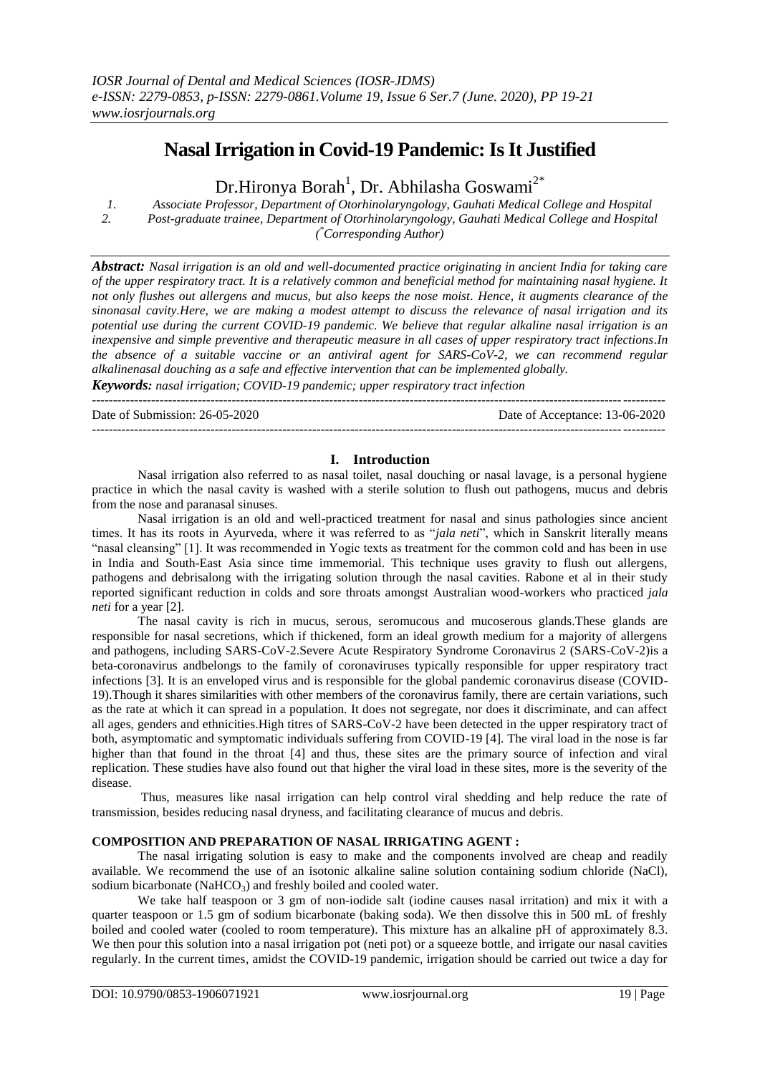# **Nasal Irrigation in Covid-19 Pandemic: Is It Justified**

Dr.Hironya Borah<sup>1</sup>, Dr. Abhilasha Goswami<sup>2\*</sup>

*1. Associate Professor, Department of Otorhinolaryngology, Gauhati Medical College and Hospital 2. Post-graduate trainee, Department of Otorhinolaryngology, Gauhati Medical College and Hospital* 

*( \*Corresponding Author)*

*Abstract: Nasal irrigation is an old and well-documented practice originating in ancient India for taking care of the upper respiratory tract. It is a relatively common and beneficial method for maintaining nasal hygiene. It not only flushes out allergens and mucus, but also keeps the nose moist. Hence, it augments clearance of the sinonasal cavity.Here, we are making a modest attempt to discuss the relevance of nasal irrigation and its potential use during the current COVID-19 pandemic. We believe that regular alkaline nasal irrigation is an inexpensive and simple preventive and therapeutic measure in all cases of upper respiratory tract infections.In the absence of a suitable vaccine or an antiviral agent for SARS-CoV-2, we can recommend regular alkalinenasal douching as a safe and effective intervention that can be implemented globally.*

*Keywords: nasal irrigation; COVID-19 pandemic; upper respiratory tract infection* ---------------------------------------------------------------------------------------------------------------------------------------

Date of Submission: 26-05-2020 Date of Acceptance: 13-06-2020

**I. Introduction**

Nasal irrigation also referred to as nasal toilet, nasal douching or nasal lavage, is a personal hygiene practice in which the nasal cavity is washed with a sterile solution to flush out pathogens, mucus and debris from the nose and paranasal sinuses.

---------------------------------------------------------------------------------------------------------------------------------------

Nasal irrigation is an old and well-practiced treatment for nasal and sinus pathologies since ancient times. It has its roots in Ayurveda, where it was referred to as "*jala neti*", which in Sanskrit literally means "nasal cleansing" [1]. It was recommended in Yogic texts as treatment for the common cold and has been in use in India and South-East Asia since time immemorial. This technique uses gravity to flush out allergens, pathogens and debrisalong with the irrigating solution through the nasal cavities. Rabone et al in their study reported significant reduction in colds and sore throats amongst Australian wood-workers who practiced *jala neti* for a year [2].

The nasal cavity is rich in mucus, serous, seromucous and mucoserous glands.These glands are responsible for nasal secretions, which if thickened, form an ideal growth medium for a majority of allergens and pathogens, including SARS-CoV-2.Severe Acute Respiratory Syndrome Coronavirus 2 (SARS-CoV-2)is a beta-coronavirus andbelongs to the family of coronaviruses typically responsible for upper respiratory tract infections [3]. It is an enveloped virus and is responsible for the global pandemic coronavirus disease (COVID-19).Though it shares similarities with other members of the coronavirus family, there are certain variations, such as the rate at which it can spread in a population. It does not segregate, nor does it discriminate, and can affect all ages, genders and ethnicities.High titres of SARS-CoV-2 have been detected in the upper respiratory tract of both, asymptomatic and symptomatic individuals suffering from COVID-19 [4]. The viral load in the nose is far higher than that found in the throat [4] and thus, these sites are the primary source of infection and viral replication. These studies have also found out that higher the viral load in these sites, more is the severity of the disease.

Thus, measures like nasal irrigation can help control viral shedding and help reduce the rate of transmission, besides reducing nasal dryness, and facilitating clearance of mucus and debris.

## **COMPOSITION AND PREPARATION OF NASAL IRRIGATING AGENT :**

The nasal irrigating solution is easy to make and the components involved are cheap and readily available. We recommend the use of an isotonic alkaline saline solution containing sodium chloride (NaCl), sodium bicarbonate (NaHCO<sub>3</sub>) and freshly boiled and cooled water.

We take half teaspoon or 3 gm of non-iodide salt (iodine causes nasal irritation) and mix it with a quarter teaspoon or 1.5 gm of sodium bicarbonate (baking soda). We then dissolve this in 500 mL of freshly boiled and cooled water (cooled to room temperature). This mixture has an alkaline pH of approximately 8.3. We then pour this solution into a nasal irrigation pot (neti pot) or a squeeze bottle, and irrigate our nasal cavities regularly. In the current times, amidst the COVID-19 pandemic, irrigation should be carried out twice a day for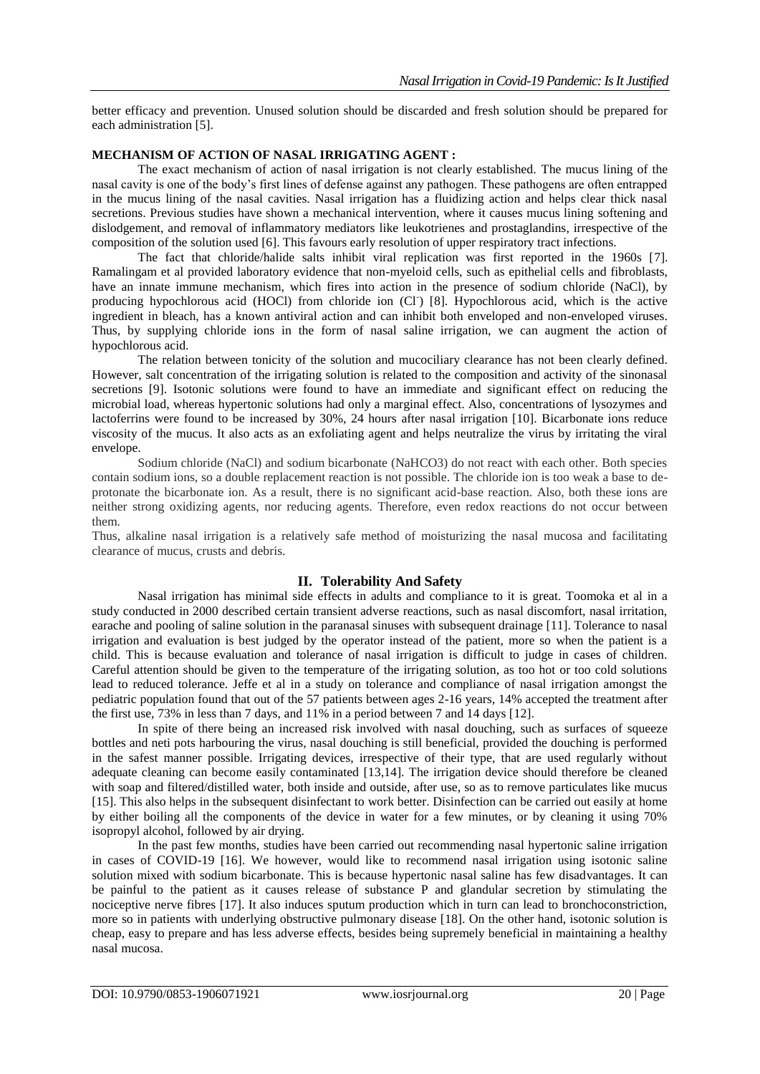better efficacy and prevention. Unused solution should be discarded and fresh solution should be prepared for each administration [5].

#### **MECHANISM OF ACTION OF NASAL IRRIGATING AGENT :**

The exact mechanism of action of nasal irrigation is not clearly established. The mucus lining of the nasal cavity is one of the body's first lines of defense against any pathogen. These pathogens are often entrapped in the mucus lining of the nasal cavities. Nasal irrigation has a fluidizing action and helps clear thick nasal secretions. Previous studies have shown a mechanical intervention, where it causes mucus lining softening and dislodgement, and removal of inflammatory mediators like leukotrienes and prostaglandins, irrespective of the composition of the solution used [6]. This favours early resolution of upper respiratory tract infections.

The fact that chloride/halide salts inhibit viral replication was first reported in the 1960s [7]. Ramalingam et al provided laboratory evidence that non-myeloid cells, such as epithelial cells and fibroblasts, have an innate immune mechanism, which fires into action in the presence of sodium chloride (NaCl), by producing hypochlorous acid (HOCl) from chloride ion (Cl )[8]. Hypochlorous acid, which is the active ingredient in bleach, has a known antiviral action and can inhibit both enveloped and non-enveloped viruses. Thus, by supplying chloride ions in the form of nasal saline irrigation, we can augment the action of hypochlorous acid.

The relation between tonicity of the solution and mucociliary clearance has not been clearly defined. However, salt concentration of the irrigating solution is related to the composition and activity of the sinonasal secretions [9]. Isotonic solutions were found to have an immediate and significant effect on reducing the microbial load, whereas hypertonic solutions had only a marginal effect. Also, concentrations of lysozymes and lactoferrins were found to be increased by 30%, 24 hours after nasal irrigation [10]. Bicarbonate ions reduce viscosity of the mucus. It also acts as an exfoliating agent and helps neutralize the virus by irritating the viral envelope.

Sodium chloride (NaCl) and sodium bicarbonate (NaHCO3) do not react with each other. Both species contain sodium ions, so a double replacement reaction is not possible. The chloride ion is too weak a base to deprotonate the bicarbonate ion. As a result, there is no significant acid-base reaction. Also, both these ions are neither strong oxidizing agents, nor reducing agents. Therefore, even redox reactions do not occur between them.

Thus, alkaline nasal irrigation is a relatively safe method of moisturizing the nasal mucosa and facilitating clearance of mucus, crusts and debris.

## **II. Tolerability And Safety**

Nasal irrigation has minimal side effects in adults and compliance to it is great. Toomoka et al in a study conducted in 2000 described certain transient adverse reactions, such as nasal discomfort, nasal irritation, earache and pooling of saline solution in the paranasal sinuses with subsequent drainage [11]. Tolerance to nasal irrigation and evaluation is best judged by the operator instead of the patient, more so when the patient is a child. This is because evaluation and tolerance of nasal irrigation is difficult to judge in cases of children. Careful attention should be given to the temperature of the irrigating solution, as too hot or too cold solutions lead to reduced tolerance. Jeffe et al in a study on tolerance and compliance of nasal irrigation amongst the pediatric population found that out of the 57 patients between ages 2-16 years, 14% accepted the treatment after the first use, 73% in less than 7 days, and 11% in a period between 7 and 14 days [12].

In spite of there being an increased risk involved with nasal douching, such as surfaces of squeeze bottles and neti pots harbouring the virus, nasal douching is still beneficial, provided the douching is performed in the safest manner possible. Irrigating devices, irrespective of their type, that are used regularly without adequate cleaning can become easily contaminated [13,14]. The irrigation device should therefore be cleaned with soap and filtered/distilled water, both inside and outside, after use, so as to remove particulates like mucus [15]. This also helps in the subsequent disinfectant to work better. Disinfection can be carried out easily at home by either boiling all the components of the device in water for a few minutes, or by cleaning it using 70% isopropyl alcohol, followed by air drying.

In the past few months, studies have been carried out recommending nasal hypertonic saline irrigation in cases of COVID-19 [16]. We however, would like to recommend nasal irrigation using isotonic saline solution mixed with sodium bicarbonate. This is because hypertonic nasal saline has few disadvantages. It can be painful to the patient as it causes release of substance P and glandular secretion by stimulating the nociceptive nerve fibres [17]. It also induces sputum production which in turn can lead to bronchoconstriction, more so in patients with underlying obstructive pulmonary disease [18]. On the other hand, isotonic solution is cheap, easy to prepare and has less adverse effects, besides being supremely beneficial in maintaining a healthy nasal mucosa.